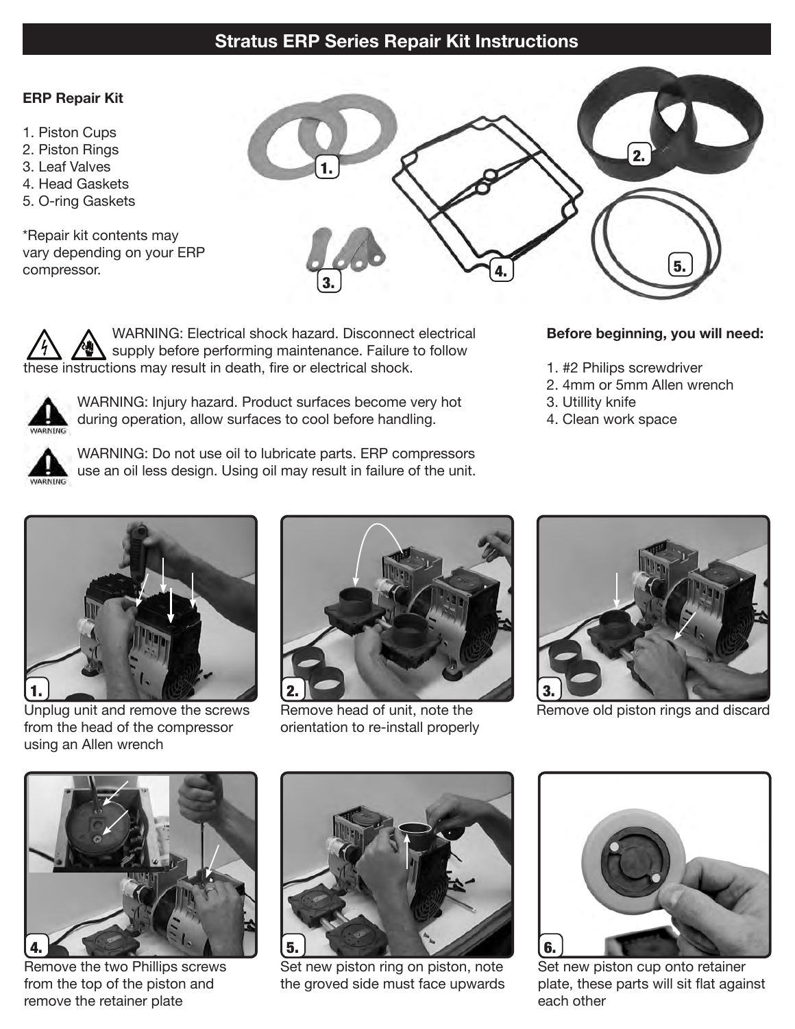# **Stratus ERP Series Repair Kit Instructions**

### **ERP Repair Kit**

- 1. Piston Cups
- 2. Piston Rings
- 3. Leaf Valves
- 4. Head Gaskets
- 5. O-ring Gaskets

\*Repair kit contents may vary depending on your ERP compressor.



WARNING: Electrical shock hazard. Disconnect electrical supply before performing maintenance. Failure to follow these instructions may result in death, fire or electrical shock.



WARNING: Injury hazard. Product surfaces become very hot during operation, allow surfaces to cool before handling.



WARNING: Do not use oil to lubricate parts. ERP compressors use an oil less design. Using oil may result in failure of the unit.

### **Before beginning, you will need:**

- 1. #2 Philips screwdriver
- 2. 4mm or 5mm Allen wrench
- 3. Utillity knife
- 4. Clean work space



Unplug unit and remove the screws from the head of the compressor using an Allen wrench



Remove head of unit, note the orientation to re-install properly



Remove old piston rings and discard



Remove the two Phillips screws from the top of the piston and remove the retainer plate



Set new piston ring on piston, note the groved side must face upwards



Set new piston cup onto retainer plate, these parts will sit flat against each other